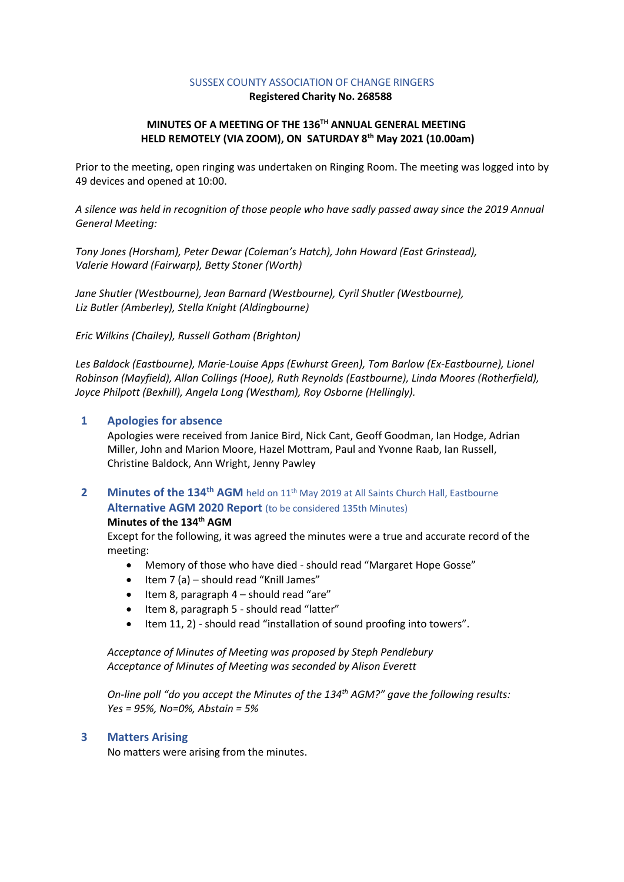## SUSSEX COUNTY ASSOCIATION OF CHANGE RINGERS

**Registered Charity No. 268588**

# **MINUTES OF A MEETING OF THE 136 TH ANNUAL GENERAL MEETING HELD REMOTELY (VIA ZOOM), ON SATURDAY 8 th May 2021 (10.00am)**

Prior to the meeting, open ringing was undertaken on Ringing Room. The meeting was logged into by 49 devices and opened at 10:00.

*A silence was held in recognition of those people who have sadly passed away since the 2019 Annual General Meeting:*

*Tony Jones (Horsham), Peter Dewar (Coleman's Hatch), John Howard (East Grinstead), Valerie Howard (Fairwarp), Betty Stoner (Worth)*

*Jane Shutler (Westbourne), Jean Barnard (Westbourne), Cyril Shutler (Westbourne), Liz Butler (Amberley), Stella Knight (Aldingbourne)*

*Eric Wilkins (Chailey), Russell Gotham (Brighton)*

*Les Baldock (Eastbourne), Marie-Louise Apps (Ewhurst Green), Tom Barlow (Ex-Eastbourne), Lionel Robinson (Mayfield), Allan Collings (Hooe), Ruth Reynolds (Eastbourne), Linda Moores (Rotherfield), Joyce Philpott (Bexhill), Angela Long (Westham), Roy Osborne (Hellingly).*

# **1 Apologies for absence**

Apologies were received from Janice Bird, Nick Cant, Geoff Goodman, Ian Hodge, Adrian Miller, John and Marion Moore, Hazel Mottram, Paul and Yvonne Raab, Ian Russell, Christine Baldock, Ann Wright, Jenny Pawley

**2 Minutes of the 134th AGM** held on 11th May 2019 at All Saints Church Hall, Eastbourne **Alternative AGM 2020 Report** (to be considered 135th Minutes)

# **Minutes of the 134th AGM**

Except for the following, it was agreed the minutes were a true and accurate record of the meeting:

- Memory of those who have died should read "Margaret Hope Gosse"
- Item 7 (a) should read "Knill James"
- Item 8, paragraph 4 should read "are"
- Item 8, paragraph 5 should read "latter"
- Item 11, 2) should read "installation of sound proofing into towers".

*Acceptance of Minutes of Meeting was proposed by Steph Pendlebury Acceptance of Minutes of Meeting was seconded by Alison Everett*

*On-line poll "do you accept the Minutes of the 134th AGM?" gave the following results: Yes = 95%, No=0%, Abstain = 5%*

# **3 Matters Arising**

No matters were arising from the minutes.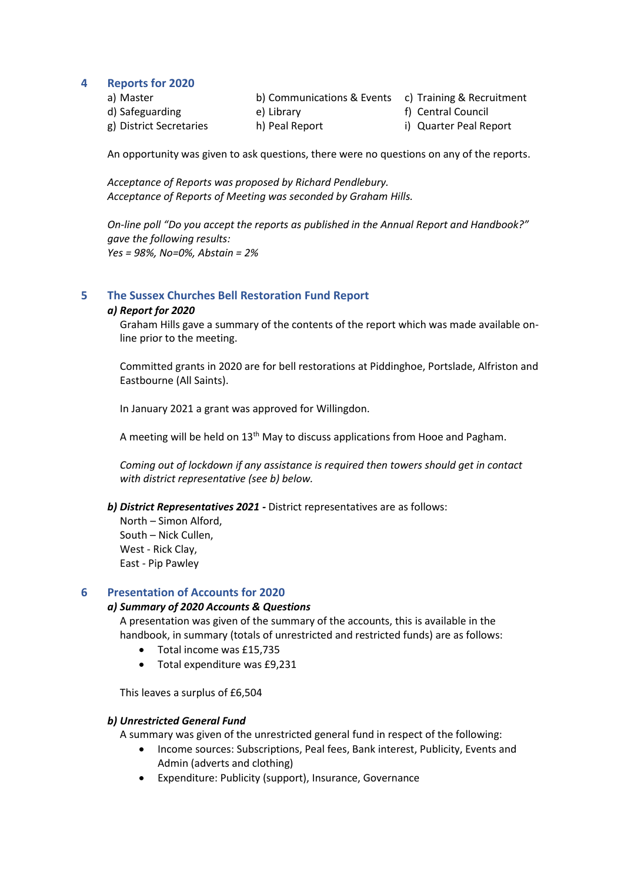## **4 Reports for 2020**

a) Master **b) Communications & Events** c) Training & Recruitment

- d) Safeguarding (a) Library (e) Library (e) the set of the set of the set of the set of the set of the set of the set of the set of the set of the set of the set of the set of the set of the set of the set of the set of th
- g) District Secretaries h) Peal Report i) Quarter Peal Report

An opportunity was given to ask questions, there were no questions on any of the reports.

*Acceptance of Reports was proposed by Richard Pendlebury. Acceptance of Reports of Meeting was seconded by Graham Hills.*

*On-line poll "Do you accept the reports as published in the Annual Report and Handbook?" gave the following results: Yes = 98%, No=0%, Abstain = 2%*

# **5 The Sussex Churches Bell Restoration Fund Report**

## *a) Report for 2020*

Graham Hills gave a summary of the contents of the report which was made available online prior to the meeting.

Committed grants in 2020 are for bell restorations at Piddinghoe, Portslade, Alfriston and Eastbourne (All Saints).

In January 2021 a grant was approved for Willingdon.

A meeting will be held on 13<sup>th</sup> May to discuss applications from Hooe and Pagham.

*Coming out of lockdown if any assistance is required then towers should get in contact with district representative (see b) below.*

*b) District Representatives 2021 -* District representatives are as follows:

North – Simon Alford, South – Nick Cullen, West - Rick Clay, East - Pip Pawley

# **6 Presentation of Accounts for 2020**

# *a) Summary of 2020 Accounts & Questions*

A presentation was given of the summary of the accounts, this is available in the handbook, in summary (totals of unrestricted and restricted funds) are as follows:

- Total income was £15,735
- Total expenditure was £9,231

This leaves a surplus of £6,504

#### *b) Unrestricted General Fund*

A summary was given of the unrestricted general fund in respect of the following:

- Income sources: Subscriptions, Peal fees, Bank interest, Publicity, Events and Admin (adverts and clothing)
- Expenditure: Publicity (support), Insurance, Governance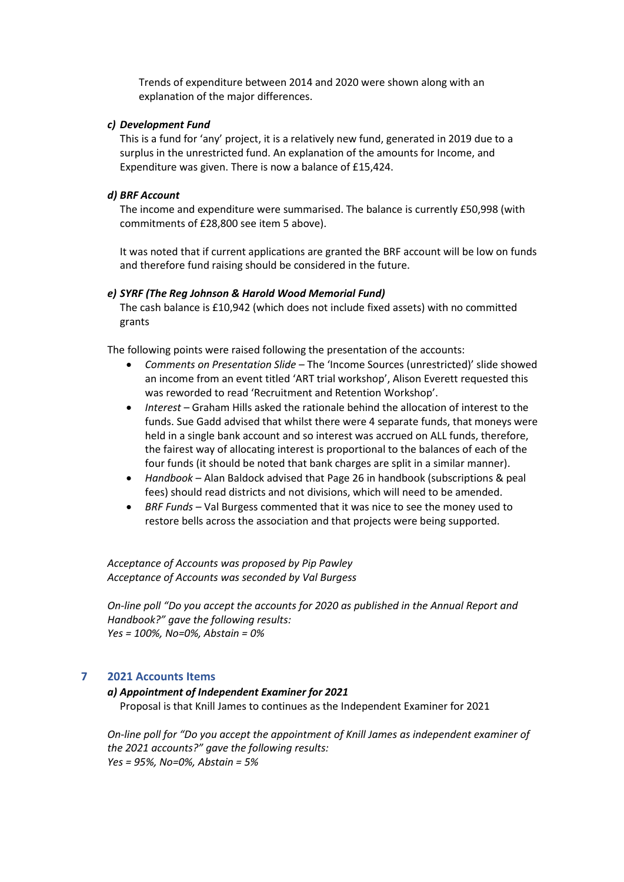Trends of expenditure between 2014 and 2020 were shown along with an explanation of the major differences.

## *c) Development Fund*

This is a fund for 'any' project, it is a relatively new fund, generated in 2019 due to a surplus in the unrestricted fund. An explanation of the amounts for Income, and Expenditure was given. There is now a balance of £15,424.

#### *d) BRF Account*

The income and expenditure were summarised. The balance is currently £50,998 (with commitments of £28,800 see item 5 above).

It was noted that if current applications are granted the BRF account will be low on funds and therefore fund raising should be considered in the future.

#### *e) SYRF (The Reg Johnson & Harold Wood Memorial Fund)*

The cash balance is £10,942 (which does not include fixed assets) with no committed grants

The following points were raised following the presentation of the accounts:

- *Comments on Presentation Slide*  The 'Income Sources (unrestricted)' slide showed an income from an event titled 'ART trial workshop', Alison Everett requested this was reworded to read 'Recruitment and Retention Workshop'.
- *Interest* Graham Hills asked the rationale behind the allocation of interest to the funds. Sue Gadd advised that whilst there were 4 separate funds, that moneys were held in a single bank account and so interest was accrued on ALL funds, therefore, the fairest way of allocating interest is proportional to the balances of each of the four funds (it should be noted that bank charges are split in a similar manner).
- *Handbook* Alan Baldock advised that Page 26 in handbook (subscriptions & peal fees) should read districts and not divisions, which will need to be amended.
- *BRF Funds* Val Burgess commented that it was nice to see the money used to restore bells across the association and that projects were being supported.

*Acceptance of Accounts was proposed by Pip Pawley Acceptance of Accounts was seconded by Val Burgess*

*On-line poll "Do you accept the accounts for 2020 as published in the Annual Report and Handbook?" gave the following results: Yes = 100%, No=0%, Abstain = 0%*

## **7 2021 Accounts Items**

#### *a) Appointment of Independent Examiner for 2021*

Proposal is that Knill James to continues as the Independent Examiner for 2021

*On-line poll for "Do you accept the appointment of Knill James as independent examiner of the 2021 accounts?" gave the following results: Yes = 95%, No=0%, Abstain = 5%*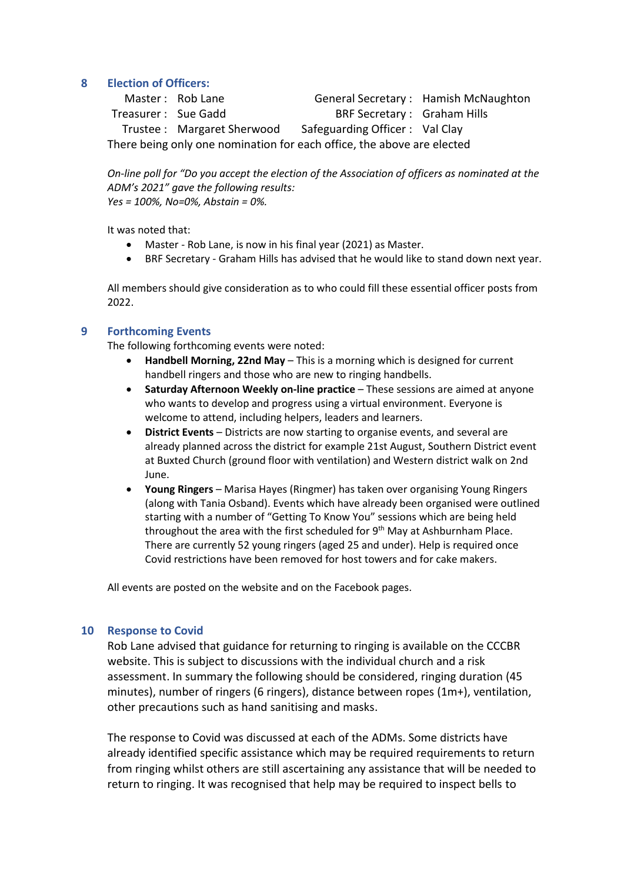# **8 Election of Officers:**

Master : Rob Lane General Secretary : Hamish McNaughton Treasurer : Sue Gadd BRF Secretary : Graham Hills Trustee : Margaret Sherwood Safeguarding Officer : Val Clay There being only one nomination for each office, the above are elected

*On-line poll for "Do you accept the election of the Association of officers as nominated at the ADM's 2021" gave the following results: Yes = 100%, No=0%, Abstain = 0%.*

It was noted that:

- Master Rob Lane, is now in his final year (2021) as Master.
- BRF Secretary Graham Hills has advised that he would like to stand down next year.

All members should give consideration as to who could fill these essential officer posts from 2022.

# **9 Forthcoming Events**

The following forthcoming events were noted:

- **Handbell Morning, 22nd May** This is a morning which is designed for current handbell ringers and those who are new to ringing handbells.
- **Saturday Afternoon Weekly on-line practice** These sessions are aimed at anyone who wants to develop and progress using a virtual environment. Everyone is welcome to attend, including helpers, leaders and learners.
- **District Events** Districts are now starting to organise events, and several are already planned across the district for example 21st August, Southern District event at Buxted Church (ground floor with ventilation) and Western district walk on 2nd June.
- **Young Ringers**  Marisa Hayes (Ringmer) has taken over organising Young Ringers (along with Tania Osband). Events which have already been organised were outlined starting with a number of "Getting To Know You" sessions which are being held throughout the area with the first scheduled for  $9<sup>th</sup>$  May at Ashburnham Place. There are currently 52 young ringers (aged 25 and under). Help is required once Covid restrictions have been removed for host towers and for cake makers.

All events are posted on the website and on the Facebook pages.

# **10 Response to Covid**

Rob Lane advised that guidance for returning to ringing is available on the CCCBR website. This is subject to discussions with the individual church and a risk assessment. In summary the following should be considered, ringing duration (45 minutes), number of ringers (6 ringers), distance between ropes (1m+), ventilation, other precautions such as hand sanitising and masks.

The response to Covid was discussed at each of the ADMs. Some districts have already identified specific assistance which may be required requirements to return from ringing whilst others are still ascertaining any assistance that will be needed to return to ringing. It was recognised that help may be required to inspect bells to